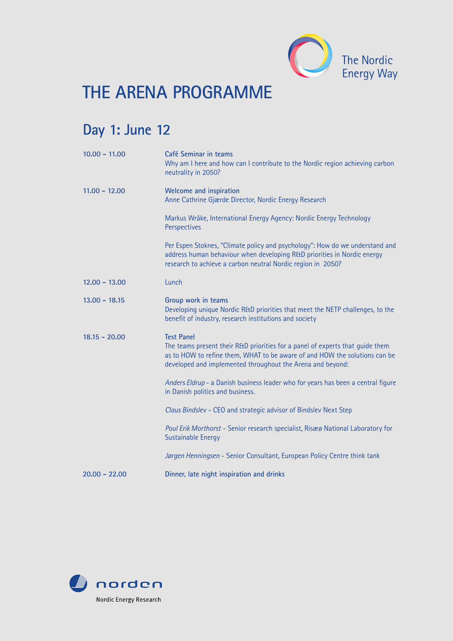

## **THE ARENA PROGRAMME**

## **Day 1: June 12**

| $10.00 - 11.00$ | Café Seminar in teams<br>Why am I here and how can I contribute to the Nordic region achieving carbon<br>neutrality in 2050?                                                                                                                   |
|-----------------|------------------------------------------------------------------------------------------------------------------------------------------------------------------------------------------------------------------------------------------------|
| $11.00 - 12.00$ | <b>Welcome and inspiration</b><br>Anne Cathrine Gjærde Director, Nordic Energy Research                                                                                                                                                        |
|                 | Markus Wråke, International Energy Agency: Nordic Energy Technology<br>Perspectives                                                                                                                                                            |
|                 | Per Espen Stoknes, "Climate policy and psychology": How do we understand and<br>address human behaviour when developing R&D priorities in Nordic energy<br>research to achieve a carbon neutral Nordic region in 2050?                         |
| $12,00 - 13,00$ | Lunch                                                                                                                                                                                                                                          |
| $13.00 - 18.15$ | Group work in teams<br>Developing unique Nordic R&D priorities that meet the NETP challenges, to the<br>benefit of industry, research institutions and society                                                                                 |
| $18.15 - 20.00$ | <b>Test Panel</b><br>The teams present their R&D priorities for a panel of experts that guide them<br>as to HOW to refine them, WHAT to be aware of and HOW the solutions can be<br>developed and implemented throughout the Arena and beyond: |
|                 | Anders Eldrup - a Danish business leader who for years has been a central figure<br>in Danish politics and business.                                                                                                                           |
|                 | Claus Bindslev - CEO and strategic advisor of Bindslev Next Step                                                                                                                                                                               |
|                 | Poul Erik Morthorst - Senior research specialist, Risæø National Laboratory for<br><b>Sustainable Energy</b>                                                                                                                                   |
|                 | Jørgen Henningsen - Senior Consultant, European Policy Centre think tank                                                                                                                                                                       |
| $20.00 - 22.00$ | Dinner, late night inspiration and drinks                                                                                                                                                                                                      |